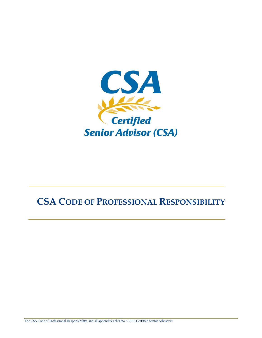

# **CSA CODE OF PROFESSIONAL RESPONSIBILITY**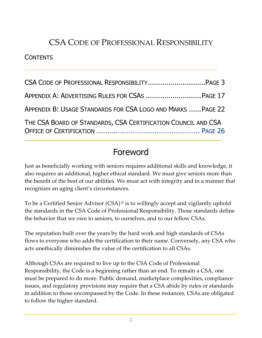# CSA CODE OF PROFESSIONAL RESPONSIBILITY

#### **CONTENTS**

| APPENDIX A: ADVERTISING RULES FOR CSAS  PAGE 17               |  |
|---------------------------------------------------------------|--|
| APPENDIX B: USAGE STANDARDS FOR CSA LOGO AND MARKS  PAGE 22   |  |
| THE CSA BOARD OF STANDARDS, CSA CERTIFICATION COUNCIL AND CSA |  |

# Foreword

Just as beneficially working with seniors requires additional skills and knowledge, it also requires an additional, higher ethical standard. We must give seniors more than the benefit of the best of our abilities. We must act with integrity and in a manner that recognizes an aging client's circumstances.

To be a Certified Senior Advisor (CSA) ® is to willingly accept and vigilantly uphold the standards in the CSA Code of Professional Responsibility. Those standards define the behavior that we owe to seniors, to ourselves, and to our fellow CSAs.

The reputation built over the years by the hard work and high standards of CSAs flows to everyone who adds the certification to their name. Conversely, any CSA who acts unethically diminishes the value of the certification to all CSAs.

Although CSAs are required to live up to the CSA Code of Professional Responsibility, the Code is a beginning rather than an end. To remain a CSA, one must be prepared to do more. Public demand, marketplace complexities, compliance issues, and regulatory provisions may require that a CSA abide by rules or standards in addition to those encompassed by the Code. In these instances, CSAs are obligated to follow the higher standard.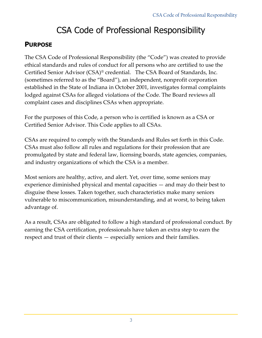# CSA Code of Professional Responsibility

## **PURPOSE**

The CSA Code of Professional Responsibility (the "Code") was created to provide ethical standards and rules of conduct for all persons who are certified to use the Certified Senior Advisor (CSA)® credential. The CSA Board of Standards, Inc. (sometimes referred to as the "Board"), an independent, nonprofit corporation established in the State of Indiana in October 2001, investigates formal complaints lodged against CSAs for alleged violations of the Code. The Board reviews all complaint cases and disciplines CSAs when appropriate.

For the purposes of this Code, a person who is certified is known as a CSA or Certified Senior Advisor. This Code applies to all CSAs.

CSAs are required to comply with the Standards and Rules set forth in this Code. CSAs must also follow all rules and regulations for their profession that are promulgated by state and federal law, licensing boards, state agencies, companies, and industry organizations of which the CSA is a member.

Most seniors are healthy, active, and alert. Yet, over time, some seniors may experience diminished physical and mental capacities — and may do their best to disguise these losses. Taken together, such characteristics make many seniors vulnerable to miscommunication, misunderstanding, and at worst, to being taken advantage of.

As a result, CSAs are obligated to follow a high standard of professional conduct. By earning the CSA certification, professionals have taken an extra step to earn the respect and trust of their clients — especially seniors and their families.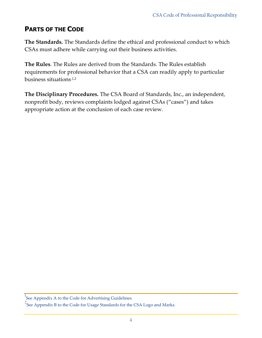## **PARTS OF THE CODE**

**The Standards.** The Standards define the ethical and professional conduct to which CSAs must adhere while carrying out their business activities.

**The Rules**. The Rules are derived from the Standards. The Rules establish requirements for professional behavior that a CSA can readily apply to particular business situations.1,2

**The Disciplinary Procedures.** The CSA Board of Standards, Inc., an independent, nonprofit body, reviews complaints lodged against CSAs ("cases") and takes appropriate action at the conclusion of each case review.

<sup>1</sup>See Appendix A to the Code for Advertising Guidelines.

<sup>&</sup>lt;sup>2</sup> See Appendix B to the Code for Usage Standards for the CSA Logo and Marks.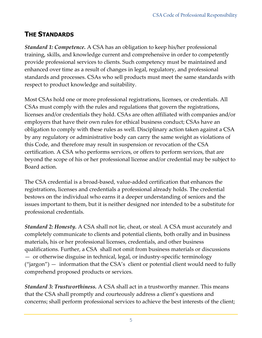## **THE STANDARDS**

*Standard 1: Competence.* A CSA has an obligation to keep his/her professional training, skills, and knowledge current and comprehensive in order to competently provide professional services to clients. Such competency must be maintained and enhanced over time as a result of changes in legal, regulatory, and professional standards and processes. CSAs who sell products must meet the same standards with respect to product knowledge and suitability.

Most CSAs hold one or more professional registrations, licenses, or credentials. All CSAs must comply with the rules and regulations that govern the registrations, licenses and/or credentials they hold. CSAs are often affiliated with companies and/or employers that have their own rules for ethical business conduct; CSAs have an obligation to comply with these rules as well. Disciplinary action taken against a CSA by any regulatory or administrative body can carry the same weight as violations of this Code, and therefore may result in suspension or revocation of the CSA certification. A CSA who performs services, or offers to perform services, that are beyond the scope of his or her professional license and/or credential may be subject to Board action.

The CSA credential is a broad-based, value-added certification that enhances the registrations, licenses and credentials a professional already holds. The credential bestows on the individual who earns it a deeper understanding of seniors and the issues important to them, but it is neither designed nor intended to be a substitute for professional credentials.

*Standard 2: Honesty.* A CSA shall not lie, cheat, or steal. A CSA must accurately and completely communicate to clients and potential clients, both orally and in business materials, his or her professional licenses, credentials, and other business qualifications. Further, a CSA shall not omit from business materials or discussions — or otherwise disguise in technical, legal, or industry-specific terminology  $("jargon")$  — information that the CSA's client or potential client would need to fully comprehend proposed products or services.

*Standard 3: Trustworthiness.* A CSA shall act in a trustworthy manner. This means that the CSA shall promptly and courteously address a client's questions and concerns; shall perform professional services to achieve the best interests of the client;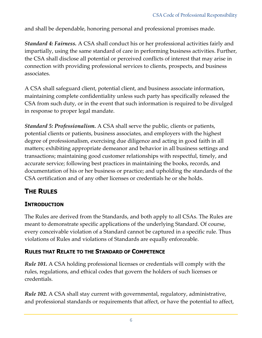and shall be dependable, honoring personal and professional promises made.

*Standard 4: Fairness.* A CSA shall conduct his or her professional activities fairly and impartially, using the same standard of care in performing business activities. Further, the CSA shall disclose all potential or perceived conflicts of interest that may arise in connection with providing professional services to clients, prospects, and business associates.

A CSA shall safeguard client, potential client, and business associate information, maintaining complete confidentiality unless such party has specifically released the CSA from such duty, or in the event that such information is required to be divulged in response to proper legal mandate.

*Standard 5: Professionalism.* A CSA shall serve the public, clients or patients, potential clients or patients, business associates, and employers with the highest degree of professionalism, exercising due diligence and acting in good faith in all matters; exhibiting appropriate demeanor and behavior in all business settings and transactions; maintaining good customer relationships with respectful, timely, and accurate service; following best practices in maintaining the books, records, and documentation of his or her business or practice; and upholding the standards of the CSA certification and of any other licenses or credentials he or she holds.

## **THE RULES**

### **INTRODUCTION**

The Rules are derived from the Standards, and both apply to all CSAs. The Rules are meant to demonstrate specific applications of the underlying Standard. Of course, every conceivable violation of a Standard cannot be captured in a specific rule. Thus violations of Rules and violations of Standards are equally enforceable.

## **RULES THAT RELATE TO THE STANDARD OF COMPETENCE**

*Rule 101.* A CSA holding professional licenses or credentials will comply with the rules, regulations, and ethical codes that govern the holders of such licenses or credentials.

*Rule 102.* A CSA shall stay current with governmental, regulatory, administrative, and professional standards or requirements that affect, or have the potential to affect,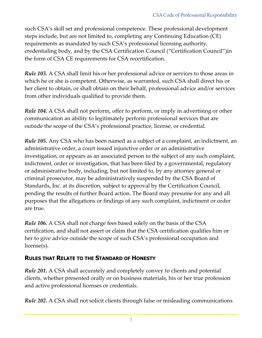such CSA's skill set and professional competence. These professional development steps include, but are not limited to, completing any Continuing Education (CE) requirements as mandated by such CSA's professional licensing authority, credentialing body, and by the CSA Certification Council ("Certification Council")in the form of CSA CE requirements for CSA recertification.

*Rule 103.* A CSA shall limit his or her professional advice or services to those areas in which he or she is competent. Otherwise, as warranted, such CSA shall direct his or her client to obtain, or shall obtain on their behalf, professional advice and/or services from other individuals qualified to provide them.

*Rule 104.* A CSA shall not perform, offer to perform, or imply in advertising or other communication an ability to legitimately perform professional services that are outside the scope of the CSA's professional practice, license, or credential.

*Rule 105.* Any CSA who has been named as a subject of a complaint, an indictment, an administrative order, a court issued injunctive order or an administrative investigation, or appears as an associated person to the subject of any such complaint, indictment, order or investigation, that has been filed by a governmental, regulatory or administrative body, including, but not limited to, by any attorney general or criminal prosecutor, may be administratively suspended by the CSA Board of Standards, Inc. at its discretion, subject to approval by the Certification Council, pending the results of further Board action. The Board may presume for any and all purposes that the allegations or findings of any such complaint, indictment or order are true.

*Rule 106.* A CSA shall not charge fees based solely on the basis of the CSA certification, and shall not assert or claim that the CSA certification qualifies him or her to give advice outside the scope of such CSA's professional occupation and license(s).

### **RULES THAT RELATE TO THE STANDARD OF HONESTY**

*Rule 201.* A CSA shall accurately and completely convey to clients and potential clients, whether presented orally or on business materials, his or her true profession and active professional licenses or credentials.

*Rule 202.* A CSA shall not solicit clients through false or misleading communications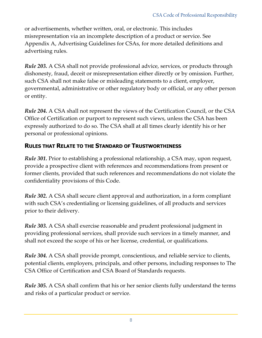or advertisements, whether written, oral, or electronic. This includes misrepresentation via an incomplete description of a product or service. See Appendix A, Advertising Guidelines for CSAs, for more detailed definitions and advertising rules.

*Rule 203.* A CSA shall not provide professional advice, services, or products through dishonesty, fraud, deceit or misrepresentation either directly or by omission. Further, such CSA shall not make false or misleading statements to a client, employer, governmental, administrative or other regulatory body or official, or any other person or entity.

*Rule 204.* A CSA shall not represent the views of the Certification Council, or the CSA Office of Certification or purport to represent such views, unless the CSA has been expressly authorized to do so. The CSA shall at all times clearly identify his or her personal or professional opinions.

#### **RULES THAT RELATE TO THE STANDARD OF TRUSTWORTHINESS**

*Rule 301.* Prior to establishing a professional relationship, a CSA may, upon request, provide a prospective client with references and recommendations from present or former clients, provided that such references and recommendations do not violate the confidentiality provisions of this Code.

*Rule 302.* A CSA shall secure client approval and authorization, in a form compliant with such CSA's credentialing or licensing guidelines, of all products and services prior to their delivery.

*Rule 303.* A CSA shall exercise reasonable and prudent professional judgment in providing professional services, shall provide such services in a timely manner, and shall not exceed the scope of his or her license, credential, or qualifications.

*Rule 304.* A CSA shall provide prompt, conscientious, and reliable service to clients, potential clients, employers, principals, and other persons, including responses to The CSA Office of Certification and CSA Board of Standards requests.

*Rule 305.* A CSA shall confirm that his or her senior clients fully understand the terms and risks of a particular product or service.

8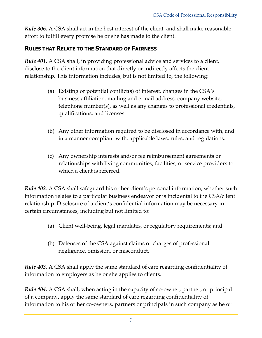*Rule 306.* A CSA shall act in the best interest of the client, and shall make reasonable effort to fulfill every promise he or she has made to the client.

#### **RULES THAT RELATE TO THE STANDARD OF FAIRNESS**

*Rule 401.* A CSA shall, in providing professional advice and services to a client, disclose to the client information that directly or indirectly affects the client relationship. This information includes, but is not limited to, the following:

- (a) Existing or potential conflict(s) of interest, changes in the CSA's business affiliation, mailing and e-mail address, company website, telephone number(s), as well as any changes to professional credentials, qualifications, and licenses.
- (b) Any other information required to be disclosed in accordance with, and in a manner compliant with, applicable laws, rules, and regulations.
- (c) Any ownership interests and/or fee reimbursement agreements or relationships with living communities, facilities, or service providers to which a client is referred.

*Rule 402*. A CSA shall safeguard his or her client's personal information, whether such information relates to a particular business endeavor or is incidental to the CSA/client relationship. Disclosure of a client's confidential information may be necessary in certain circumstances, including but not limited to:

- (a) Client well-being, legal mandates, or regulatory requirements; and
- (b) Defenses of the CSA against claims or charges of professional negligence, omission, or misconduct.

*Rule 403.* A CSA shall apply the same standard of care regarding confidentiality of information to employers as he or she applies to clients.

*Rule 404.* A CSA shall, when acting in the capacity of co-owner, partner, or principal of a company, apply the same standard of care regarding confidentiality of information to his or her co-owners, partners or principals in such company as he or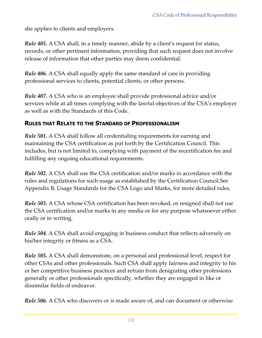she applies to clients and employers.

*Rule 405.* A CSA shall, in a timely manner, abide by a client's request for status, records, or other pertinent information, providing that such request does not involve release of information that other parties may deem confidential.

*Rule 406.* A CSA shall equally apply the same standard of care in providing professional services to clients, potential clients, or other persons.

*Rule 407.* A CSA who is an employee shall provide professional advice and/or services while at all times complying with the lawful objectives of the CSA's employer as well as with the Standards of this Code.

#### **RULES THAT RELATE TO THE STANDARD OF PROFESSIONALISM**

*Rule 501.* A CSA shall follow all credentialing requirements for earning and maintaining the CSA certification as put forth by the Certification Council. This includes, but is not limited to, complying with payment of the recertification fee and fulfilling any ongoing educational requirements.

*Rule 502.* A CSA shall use the CSA certification and/or marks in accordance with the rules and regulations for such usage as established by the Certification Council.See Appendix B, Usage Standards for the CSA Logo and Marks, for more detailed rules.

*Rule 503.* A CSA whose CSA certification has been revoked, or resigned shall not use the CSA certification and/or marks in any media or for any purpose whatsoever either orally or in writing.

*Rule 504.* A CSA shall avoid engaging in business conduct that reflects adversely on his/her integrity or fitness as a CSA.

*Rule 505.* A CSA shall demonstrate, on a personal and professional level, respect for other CSAs and other professionals. Such CSA shall apply fairness and integrity to his or her competitive business practices and refrain from denigrating other professions generally or other professionals specifically, whether they are engaged in like or dissimilar fields of endeavor.

*Rule 506.* A CSA who discovers or is made aware of, and can document or otherwise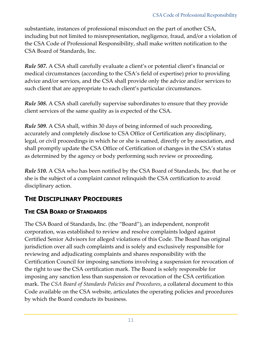substantiate, instances of professional misconduct on the part of another CSA, including but not limited to misrepresentation, negligence, fraud, and/or a violation of the CSA Code of Professional Responsibility, shall make written notification to the CSA Board of Standards, Inc.

*Rule 507.* A CSA shall carefully evaluate a client's or potential client's financial or medical circumstances (according to the CSA's field of expertise) prior to providing advice and/or services, and the CSA shall provide only the advice and/or services to such client that are appropriate to each client's particular circumstances.

*Rule 508.* A CSA shall carefully supervise subordinates to ensure that they provide client services of the same quality as is expected of the CSA.

*Rule 509.* A CSA shall, within 30 days of being informed of such proceeding, accurately and completely disclose to CSA Office of Certification any disciplinary, legal, or civil proceedings in which he or she is named, directly or by association, and shall promptly update the CSA Office of Certification of changes in the CSA's status as determined by the agency or body performing such review or proceeding.

*Rule 510.* A CSA who has been notified by the CSA Board of Standards, Inc. that he or she is the subject of a complaint cannot relinquish the CSA certification to avoid disciplinary action.

## **THE DISCIPLINARY PROCEDURES**

### **THE CSA BOARD OF STANDARDS**

The CSA Board of Standards, Inc. (the "Board"), an independent, nonprofit corporation, was established to review and resolve complaints lodged against Certified Senior Advisors for alleged violations of this Code. The Board has original jurisdiction over all such complaints and is solely and exclusively responsible for reviewing and adjudicating complaints and shares responsibility with the Certification Council for imposing sanctions involving a suspension for revocation of the right to use the CSA certification mark. The Board is solely responsible for imposing any sanction less than suspension or revocation of the CSA certification mark. The *CSA Board of Standards Policies and Procedures*, a collateral document to this Code available on the CSA website, articulates the operating policies and procedures by which the Board conducts its business.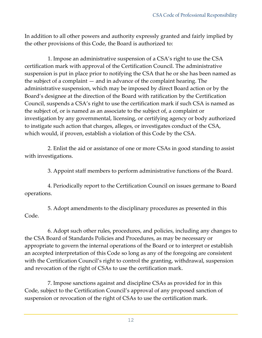In addition to all other powers and authority expressly granted and fairly implied by the other provisions of this Code, the Board is authorized to:

1. Impose an administrative suspension of a CSA's right to use the CSA certification mark with approval of the Certification Council. The administrative suspension is put in place prior to notifying the CSA that he or she has been named as the subject of a complaint — and in advance of the complaint hearing. The administrative suspension, which may be imposed by direct Board action or by the Board's designee at the direction of the Board with ratification by the Certification Council, suspends a CSA's right to use the certification mark if such CSA is named as the subject of, or is named as an associate to the subject of, a complaint or investigation by any governmental, licensing, or certifying agency or body authorized to instigate such action that charges, alleges, or investigates conduct of the CSA, which would, if proven, establish a violation of this Code by the CSA.

2. Enlist the aid or assistance of one or more CSAs in good standing to assist with investigations.

3. Appoint staff members to perform administrative functions of the Board.

4. Periodically report to the Certification Council on issues germane to Board operations.

5. Adopt amendments to the disciplinary procedures as presented in this Code.

6. Adopt such other rules, procedures, and policies, including any changes to the CSA Board of Standards Policies and Procedures, as may be necessary or appropriate to govern the internal operations of the Board or to interpret or establish an accepted interpretation of this Code so long as any of the foregoing are consistent with the Certification Council's right to control the granting, withdrawal, suspension and revocation of the right of CSAs to use the certification mark.

7. Impose sanctions against and discipline CSAs as provided for in this Code, subject to the Certification Council's approval of any proposed sanction of suspension or revocation of the right of CSAs to use the certification mark.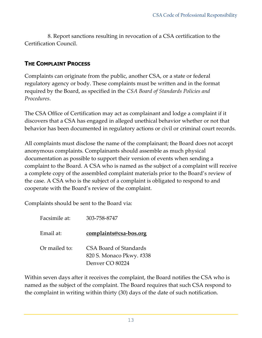8. Report sanctions resulting in revocation of a CSA certification to the Certification Council.

#### **THE COMPLAINT PROCESS**

Complaints can originate from the public, another CSA, or a state or federal regulatory agency or body. These complaints must be written and in the format required by the Board, as specified in the *CSA Board of Standards Policies and Procedures*.

The CSA Office of Certification may act as complainant and lodge a complaint if it discovers that a CSA has engaged in alleged unethical behavior whether or not that behavior has been documented in regulatory actions or civil or criminal court records.

All complaints must disclose the name of the complainant; the Board does not accept anonymous complaints. Complainants should assemble as much physical documentation as possible to support their version of events when sending a complaint to the Board. A CSA who is named as the subject of a complaint will receive a complete copy of the assembled complaint materials prior to the Board's review of the case. A CSA who is the subject of a complaint is obligated to respond to and cooperate with the Board's review of the complaint.

Complaints should be sent to the Board via:

| Facsimile at: | 303-758-8747                                                          |
|---------------|-----------------------------------------------------------------------|
| Email at:     | <u>complaints@csa-bos.org</u>                                         |
| Or mailed to: | CSA Board of Standards<br>820 S. Monaco Pkwy. #338<br>Denver CO 80224 |

Within seven days after it receives the complaint, the Board notifies the CSA who is named as the subject of the complaint. The Board requires that such CSA respond to the complaint in writing within thirty (30) days of the date of such notification.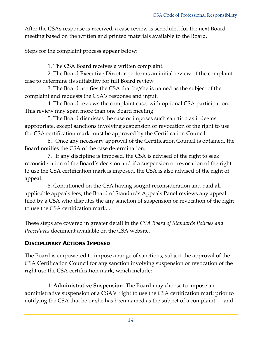After the CSAs response is received, a case review is scheduled for the next Board meeting based on the written and printed materials available to the Board.

Steps for the complaint process appear below:

1. The CSA Board receives a written complaint.

2. The Board Executive Director performs an initial review of the complaint case to determine its suitability for full Board review

3. The Board notifies the CSA that he/she is named as the subject of the complaint and requests the CSA's response and input.

4. The Board reviews the complaint case, with optional CSA participation. This review may span more than one Board meeting.

5. The Board dismisses the case or imposes such sanction as it deems appropriate, except sanctions involving suspension or revocation of the right to use the CSA certification mark must be approved by the Certification Council.

6. Once any necessary approval of the Certification Council is obtained, the Board notifies the CSA of the case determination.

7. If any discipline is imposed, the CSA is advised of the right to seek reconsideration of the Board's decision and if a suspension or revocation of the right to use the CSA certification mark is imposed, the CSA is also advised of the right of appeal.

8. Conditioned on the CSA having sought reconsideration and paid all applicable appeals fees, the Board of Standards Appeals Panel reviews any appeal filed by a CSA who disputes the any sanction of suspension or revocation of the right to use the CSA certification mark. .

These steps are covered in greater detail in the *CSA Board of Standards Policies and Procedures* document available on the CSA website.

#### **DISCIPLINARY ACTIONS IMPOSED**

The Board is empowered to impose a range of sanctions, subject the approval of the CSA Certification Council for any sanction involving suspension or revocation of the right use the CSA certification mark, which include:

**1. Administrative Suspension**. The Board may choose to impose an administrative suspension of a CSA's right to use the CSA certification mark prior to notifying the CSA that he or she has been named as the subject of a complaint — and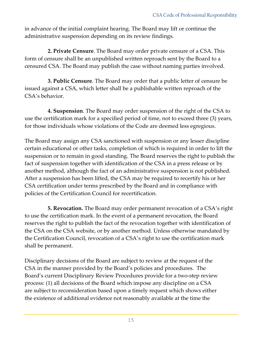in advance of the initial complaint hearing. The Board may lift or continue the administrative suspension depending on its review findings.

**2. Private Censure**. The Board may order private censure of a CSA. This form of censure shall be an unpublished written reproach sent by the Board to a censured CSA. The Board may publish the case without naming parties involved.

**3. Public Censure**. The Board may order that a public letter of censure be issued against a CSA, which letter shall be a publishable written reproach of the CSA's behavior.

**4. Suspension**. The Board may order suspension of the right of the CSA to use the certification mark for a specified period of time, not to exceed three (3) years, for those individuals whose violations of the Code are deemed less egregious.

The Board may assign any CSA sanctioned with suspension or any lesser discipline certain educational or other tasks, completion of which is required in order to lift the suspension or to remain in good standing. The Board reserves the right to publish the fact of suspension together with identification of the CSA in a press release or by another method, although the fact of an administrative suspension is not published. After a suspension has been lifted, the CSA may be required to recertify his or her CSA certification under terms prescribed by the Board and in compliance with policies of the Certification Council for recertification.

**5. Revocation.** The Board may order permanent revocation of a CSA's right to use the certification mark. In the event of a permanent revocation, the Board reserves the right to publish the fact of the revocation together with identification of the CSA on the CSA website, or by another method. Unless otherwise mandated by the Certification Council, revocation of a CSA's right to use the certification mark shall be permanent.

Disciplinary decisions of the Board are subject to review at the request of the CSA in the manner provided by the Board's policies and procedures. The Board's current Disciplinary Review Procedures provide for a two-step review process: (1) all decisions of the Board which impose any discipline on a CSA are subject to reconsideration based upon a timely request which shows either the existence of additional evidence not reasonably available at the time the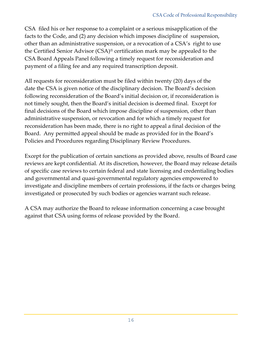CSA filed his or her response to a complaint or a serious misapplication of the facts to the Code, and (2) any decision which imposes discipline of suspension, other than an administrative suspension, or a revocation of a CSA's right to use the Certified Senior Advisor (CSA)® certification mark may be appealed to the CSA Board Appeals Panel following a timely request for reconsideration and payment of a filing fee and any required transcription deposit.

All requests for reconsideration must be filed within twenty (20) days of the date the CSA is given notice of the disciplinary decision. The Board's decision following reconsideration of the Board's initial decision or, if reconsideration is not timely sought, then the Board's initial decision is deemed final. Except for final decisions of the Board which impose discipline of suspension, other than administrative suspension, or revocation and for which a timely request for reconsideration has been made, there is no right to appeal a final decision of the Board. Any permitted appeal should be made as provided for in the Board's Policies and Procedures regarding Disciplinary Review Procedures.

Except for the publication of certain sanctions as provided above, results of Board case reviews are kept confidential. At its discretion, however, the Board may release details of specific case reviews to certain federal and state licensing and credentialing bodies and governmental and quasi-governmental regulatory agencies empowered to investigate and discipline members of certain professions, if the facts or charges being investigated or prosecuted by such bodies or agencies warrant such release.

A CSA may authorize the Board to release information concerning a case brought against that CSA using forms of release provided by the Board.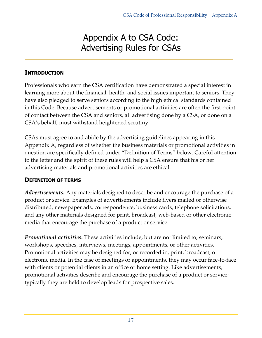# Appendix A to CSA Code: Advertising Rules for CSAs

#### **INTRODUCTION**

Professionals who earn the CSA certification have demonstrated a special interest in learning more about the financial, health, and social issues important to seniors. They have also pledged to serve seniors according to the high ethical standards contained in this Code. Because advertisements or promotional activities are often the first point of contact between the CSA and seniors, all advertising done by a CSA, or done on a CSA's behalf, must withstand heightened scrutiny.

CSAs must agree to and abide by the advertising guidelines appearing in this Appendix A, regardless of whether the business materials or promotional activities in question are specifically defined under "Definition of Terms" below. Careful attention to the letter and the spirit of these rules will help a CSA ensure that his or her advertising materials and promotional activities are ethical.

#### **DEFINITION OF TERMS**

*Advertisements.* Any materials designed to describe and encourage the purchase of a product or service. Examples of advertisements include flyers mailed or otherwise distributed, newspaper ads, correspondence, business cards, telephone solicitations, and any other materials designed for print, broadcast, web-based or other electronic media that encourage the purchase of a product or service.

*Promotional activities.* These activities include, but are not limited to, seminars, workshops, speeches, interviews, meetings, appointments, or other activities. Promotional activities may be designed for, or recorded in, print, broadcast, or electronic media. In the case of meetings or appointments, they may occur face-to-face with clients or potential clients in an office or home setting. Like advertisements, promotional activities describe and encourage the purchase of a product or service; typically they are held to develop leads for prospective sales.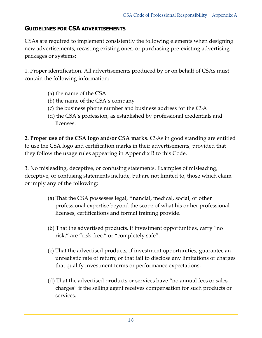#### **GUIDELINES FOR CSA ADVERTISEMENTS**

CSAs are required to implement consistently the following elements when designing new advertisements, recasting existing ones, or purchasing pre-existing advertising packages or systems:

1. Proper identification. All advertisements produced by or on behalf of CSAs must contain the following information:

- (a) the name of the CSA
- (b) the name of the CSA's company
- (c) the business phone number and business address for the CSA
- (d) the CSA's profession, as established by professional credentials and licenses.

**2. Proper use of the CSA logo and/or CSA marks**. CSAs in good standing are entitled to use the CSA logo and certification marks in their advertisements, provided that they follow the usage rules appearing in Appendix B to this Code.

3. No misleading, deceptive, or confusing statements. Examples of misleading, deceptive, or confusing statements include, but are not limited to, those which claim or imply any of the following:

- (a) That the CSA possesses legal, financial, medical, social, or other professional expertise beyond the scope of what his or her professional licenses, certifications and formal training provide.
- (b) That the advertised products, if investment opportunities, carry "no risk," are "risk-free," or "completely safe".
- (c) That the advertised products, if investment opportunities, guarantee an unrealistic rate of return; or that fail to disclose any limitations or charges that qualify investment terms or performance expectations.
- (d) That the advertised products or services have "no annual fees or sales charges" if the selling agent receives compensation for such products or services.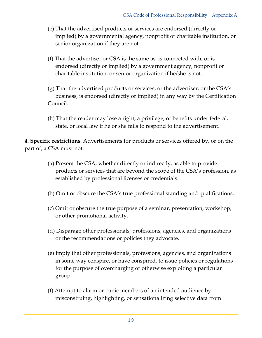- (e) That the advertised products or services are endorsed (directly or implied) by a governmental agency, nonprofit or charitable institution, or senior organization if they are not.
- (f) That the advertiser or CSA is the same as, is connected with, or is endorsed (directly or implied) by a government agency, nonprofit or charitable institution, or senior organization if he/she is not.
- (g) That the advertised products or services, or the advertiser, or the CSA's business, is endorsed (directly or implied) in any way by the Certification Council.
- (h) That the reader may lose a right, a privilege, or benefits under federal, state, or local law if he or she fails to respond to the advertisement.

**4. Specific restrictions**. Advertisements for products or services offered by, or on the part of, a CSA must not:

- (a) Present the CSA, whether directly or indirectly, as able to provide products or services that are beyond the scope of the CSA's profession, as established by professional licenses or credentials.
- (b) Omit or obscure the CSA's true professional standing and qualifications.
- (c) Omit or obscure the true purpose of a seminar, presentation, workshop, or other promotional activity.
- (d) Disparage other professionals, professions, agencies, and organizations or the recommendations or policies they advocate.
- (e) Imply that other professionals, professions, agencies, and organizations in some way conspire, or have conspired, to issue policies or regulations for the purpose of overcharging or otherwise exploiting a particular group.
- (f) Attempt to alarm or panic members of an intended audience by misconstruing, highlighting, or sensationalizing selective data from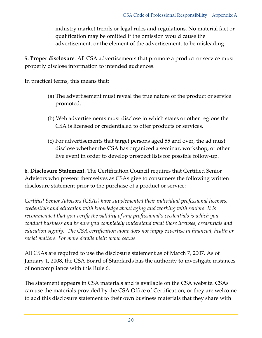industry market trends or legal rules and regulations. No material fact or qualification may be omitted if the omission would cause the advertisement, or the element of the advertisement, to be misleading.

**5. Proper disclosure**. All CSA advertisements that promote a product or service must properly disclose information to intended audiences.

In practical terms, this means that:

- (a) The advertisement must reveal the true nature of the product or service promoted.
- (b) Web advertisements must disclose in which states or other regions the CSA is licensed or credentialed to offer products or services.
- (c) For advertisements that target persons aged 55 and over, the ad must disclose whether the CSA has organized a seminar, workshop, or other live event in order to develop prospect lists for possible follow-up.

**6. Disclosure Statement.** The Certification Council requires that Certified Senior Advisors who present themselves as CSAs give to consumers the following written disclosure statement prior to the purchase of a product or service:

*Certified Senior Advisors (CSAs) have supplemented their individual professional licenses, credentials and education with knowledge about aging and working with seniors. It is recommended that you verify the validity of any professional's credentials is which you conduct business and be sure you completely understand what those licenses, credentials and education signify. The CSA certification alone does not imply expertise in financial, health or social matters. For more details visit: [www.csa.us](http://www.csa.us/)*

All CSAs are required to use the disclosure statement as of March 7, 2007. As of January 1, 2008, the CSA Board of Standards has the authority to investigate instances of noncompliance with this Rule 6.

The statement appears in CSA materials and is available on the CSA website. CSAs can use the materials provided by the CSA Office of Certification, or they are welcome to add this disclosure statement to their own business materials that they share with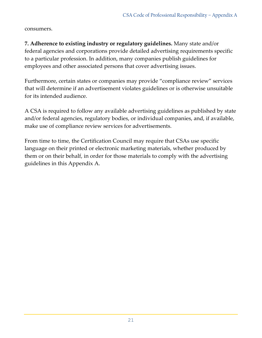consumers.

**7. Adherence to existing industry or regulatory guidelines.** Many state and/or federal agencies and corporations provide detailed advertising requirements specific to a particular profession. In addition, many companies publish guidelines for employees and other associated persons that cover advertising issues.

Furthermore, certain states or companies may provide "compliance review" services that will determine if an advertisement violates guidelines or is otherwise unsuitable for its intended audience.

A CSA is required to follow any available advertising guidelines as published by state and/or federal agencies, regulatory bodies, or individual companies, and, if available, make use of compliance review services for advertisements.

From time to time, the Certification Council may require that CSAs use specific language on their printed or electronic marketing materials, whether produced by them or on their behalf, in order for those materials to comply with the advertising guidelines in this Appendix A.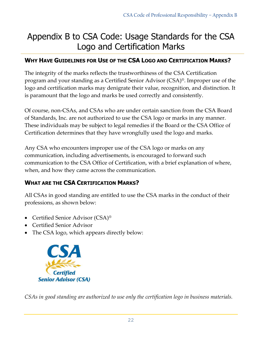# Appendix B to CSA Code: Usage Standards for the CSA Logo and Certification Marks

#### **WHY HAVE GUIDELINES FOR USE OF THE CSA LOGO AND CERTIFICATION MARKS?**

The integrity of the marks reflects the trustworthiness of the CSA Certification program and your standing as a Certified Senior Advisor (CSA)®. Improper use of the logo and certification marks may denigrate their value, recognition, and distinction. It is paramount that the logo and marks be used correctly and consistently.

Of course, non-CSAs, and CSAs who are under certain sanction from the CSA Board of Standards, Inc. are not authorized to use the CSA logo or marks in any manner. These individuals may be subject to legal remedies if the Board or the CSA Office of Certification determines that they have wrongfully used the logo and marks.

Any CSA who encounters improper use of the CSA logo or marks on any communication, including advertisements, is encouraged to forward such communication to the CSA Office of Certification, with a brief explanation of where, when, and how they came across the communication.

#### **WHAT ARE THE CSA CERTIFICATION MARKS?**

All CSAs in good standing are entitled to use the CSA marks in the conduct of their professions, as shown below:

- Certified Senior Advisor (CSA)<sup>®</sup>
- Certified Senior Advisor
- The CSA logo, which appears directly below:



*CSAs in good standing are authorized to use only the certification logo in business materials.*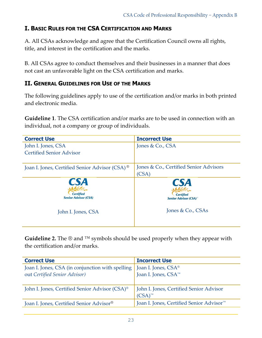#### **I. BASIC RULES FOR THE CSA CERTIFICATION AND MARKS**

A. All CSAs acknowledge and agree that the Certification Council owns all rights, title, and interest in the certification and the marks.

B. All CSAs agree to conduct themselves and their businesses in a manner that does not cast an unfavorable light on the CSA certification and marks.

#### **II. GENERAL GUIDELINES FOR USE OF THE MARKS**

The following guidelines apply to use of the certification and/or marks in both printed and electronic media.

**Guideline 1**. The CSA certification and/or marks are to be used in connection with an individual, not a company or group of individuals.

| <b>Correct Use</b>                                            | <b>Incorrect Use</b>                                                       |
|---------------------------------------------------------------|----------------------------------------------------------------------------|
| John I. Jones, CSA                                            | Jones & Co., CSA                                                           |
| <b>Certified Senior Advisor</b>                               |                                                                            |
|                                                               |                                                                            |
| Joan I. Jones, Certified Senior Advisor (CSA) <sup>®</sup>    | Jones & Co., Certified Senior Advisors                                     |
|                                                               | (CSA)                                                                      |
| <b>CSA</b><br><b>Certified</b><br><b>Senior Advisor (CSA)</b> | <b>CSA</b><br><b>Certified</b><br><b>Senior Advisor (CSA)</b> <sup>®</sup> |
| John I. Jones, CSA                                            | Jones & Co., CSAs                                                          |

Guideline 2. The ® and ™ symbols should be used properly when they appear with the certification and/or marks.

| <b>Correct Use</b>                                         | <b>Incorrect Use</b>                                 |
|------------------------------------------------------------|------------------------------------------------------|
| Joan I. Jones, CSA (in conjunction with spelling           | Joan I. Jones, CSA <sup>®</sup>                      |
| out Certified Senior Advisor)                              | Joan I. Jones, CSA <sup>™</sup>                      |
|                                                            |                                                      |
| John I. Jones, Certified Senior Advisor (CSA) <sup>®</sup> | John I. Jones, Certified Senior Advisor              |
|                                                            | $(CSA)^{TM}$                                         |
| Joan I. Jones, Certified Senior Advisor®                   | Joan I. Jones, Certified Senior Advisor <sup>™</sup> |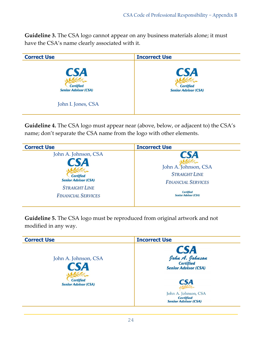**Guideline 3.** The CSA logo cannot appear on any business materials alone; it must have the CSA's name clearly associated with it.

| <b>Correct Use</b>                                                                  | <b>Incorrect Use</b>                                          |
|-------------------------------------------------------------------------------------|---------------------------------------------------------------|
| <b>CSA</b><br><b>Certified</b><br><b>Senior Advisor (CSA)</b><br>John I. Jones, CSA | <b>CSA</b><br><b>Certified</b><br><b>Senior Advisor (CSA)</b> |

**Guideline 4.** The CSA logo must appear near (above, below, or adjacent to) the CSA's name; don't separate the CSA name from the logo with other elements.

| <b>Correct Use</b>                                                                                                           | <b>Incorrect Use</b>                                                                                                                       |
|------------------------------------------------------------------------------------------------------------------------------|--------------------------------------------------------------------------------------------------------------------------------------------|
| John A. Johnson, CSA<br><b>Certified</b><br><b>Senior Advisor (CSA)</b><br><b>STRAIGHT LINE</b><br><b>FINANCIAL SERVICES</b> | <b>CSA</b><br>John A. Johnson, CSA<br><b>STRAIGHT LINE</b><br><b>FINANCIAL SERVICES</b><br><b>Certified</b><br><b>Senior Advisor (CSA)</b> |
|                                                                                                                              |                                                                                                                                            |

**Guideline 5.** The CSA logo must be reproduced from original artwork and not modified in any way.

| <b>Correct Use</b>                                                                   | <b>Incorrect Use</b>                                                                                                                                                   |
|--------------------------------------------------------------------------------------|------------------------------------------------------------------------------------------------------------------------------------------------------------------------|
| John A. Johnson, CSA<br><b>SA</b><br><b>Certified</b><br><b>Senior Advisor (CSA)</b> | CSA<br>Iohn A. Johnson<br><sup>Certified</sup><br><b>Senior Advisor (CSA)</b><br><b>CSA</b><br>John A. Johnson, CSA<br><b>Certified</b><br><b>Senior Advisor (CSA)</b> |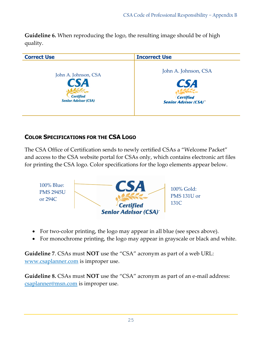**Guideline 6.** When reproducing the logo, the resulting image should be of high quality.



#### **COLOR SPECIFICATIONS FOR THE CSA LOGO**

The CSA Office of Certification sends to newly certified CSAs a "Welcome Packet" and access to the CSA website portal for CSAs only, which contains electronic art files for printing the CSA logo. Color specifications for the logo elements appear below.



- For two-color printing, the logo may appear in all blue (see specs above).
- For monochrome printing, the logo may appear in grayscale or black and white.

**Guideline 7**. CSAs must **NOT** use the "CSA" acronym as part of a web URL: [www.csaplanner.com](http://www.csaplanner.com/) is improper use.

**Guideline 8.** CSAs must **NOT** use the "CSA" acronym as part of an e-mail address: [csaplanner@msn.com](mailto:csaplanner@msn.com) is improper use.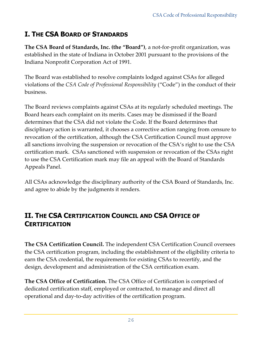# **I. THE CSA BOARD OF STANDARDS**

**The CSA Board of Standards, Inc. (the "Board")**, a not-for-profit organization, was established in the state of Indiana in October 2001 pursuant to the provisions of the Indiana Nonprofit Corporation Act of 1991.

The Board was established to resolve complaints lodged against CSAs for alleged violations of the *CSA Code of Professional Responsibility* ("Code") in the conduct of their business.

The Board reviews complaints against CSAs at its regularly scheduled meetings. The Board hears each complaint on its merits. Cases may be dismissed if the Board determines that the CSA did not violate the Code. If the Board determines that disciplinary action is warranted, it chooses a corrective action ranging from censure to revocation of the certification, although the CSA Certification Council must approve all sanctions involving the suspension or revocation of the CSA's right to use the CSA certification mark. CSAs sanctioned with suspension or revocation of the CSAs right to use the CSA Certification mark may file an appeal with the Board of Standards Appeals Panel.

All CSAs acknowledge the disciplinary authority of the CSA Board of Standards, Inc. and agree to abide by the judgments it renders.

## **II. THE CSA CERTIFICATION COUNCIL AND CSA OFFICE OF CERTIFICATION**

**The CSA Certification Council.** The independent CSA Certification Council oversees the CSA certification program, including the establishment of the eligibility criteria to earn the CSA credential, the requirements for existing CSAs to recertify, and the design, development and administration of the CSA certification exam.

**The CSA Office of Certification.** The CSA Office of Certification is comprised of dedicated certification staff, employed or contracted, to manage and direct all operational and day-to-day activities of the certification program.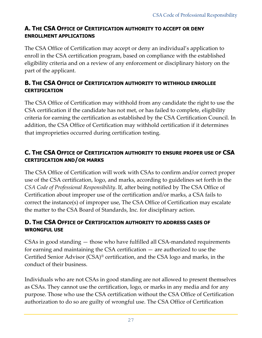#### **A. THE CSA OFFICE OF CERTIFICATION AUTHORITY TO ACCEPT OR DENY ENROLLMENT APPLICATIONS**

The CSA Office of Certification may accept or deny an individual's application to enroll in the CSA certification program, based on compliance with the established eligibility criteria and on a review of any enforcement or disciplinary history on the part of the applicant.

#### **B. THE CSA OFFICE OF CERTIFICATION AUTHORITY TO WITHHOLD ENROLLEE CERTIFICATION**

The CSA Office of Certification may withhold from any candidate the right to use the CSA certification if the candidate has not met, or has failed to complete, eligibility criteria for earning the certification as established by the CSA Certification Council. In addition, the CSA Office of Certification may withhold certification if it determines that improprieties occurred during certification testing.

#### **C. THE CSA OFFICE OF CERTIFICATION AUTHORITY TO ENSURE PROPER USE OF CSA CERTIFICATION AND/OR MARKS**

The CSA Office of Certification will work with CSAs to confirm and/or correct proper use of the CSA certification, logo, and marks, according to guidelines set forth in the *CSA Code of Professional Responsibility*. If, after being notified by The CSA Office of Certification about improper use of the certification and/or marks, a CSA fails to correct the instance(s) of improper use, The CSA Office of Certification may escalate the matter to the CSA Board of Standards, Inc. for disciplinary action.

#### **D. THE CSA OFFICE OF CERTIFICATION AUTHORITY TO ADDRESS CASES OF WRONGFUL USE**

CSAs in good standing — those who have fulfilled all CSA-mandated requirements for earning and maintaining the CSA certification — are authorized to use the Certified Senior Advisor (CSA)® certification, and the CSA logo and marks, in the conduct of their business.

Individuals who are not CSAs in good standing are not allowed to present themselves as CSAs. They cannot use the certification, logo, or marks in any media and for any purpose. Those who use the CSA certification without the CSA Office of Certification authorization to do so are guilty of wrongful use. The CSA Office of Certification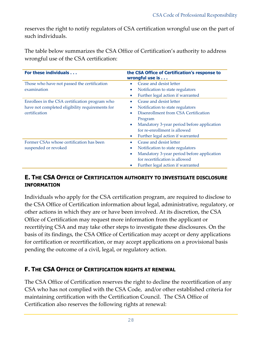reserves the right to notify regulators of CSA certification wrongful use on the part of such individuals.

The table below summarizes the CSA Office of Certification's authority to address wrongful use of the CSA certification:

| For these individuals                           | the CSA Office of Certification's response to<br>wrongful use is |
|-------------------------------------------------|------------------------------------------------------------------|
| Those who have not passed the certification     | Cease and desist letter                                          |
| examination                                     | Notification to state regulators<br>$\bullet$                    |
|                                                 | Further legal action if warranted<br>$\bullet$                   |
| Enrollees in the CSA certification program who  | Cease and desist letter<br>۰                                     |
| have not completed eligibility requirements for | Notification to state regulators<br>$\bullet$                    |
| certification                                   | Disenrollment from CSA Certification<br>$\bullet$                |
|                                                 | Program                                                          |
|                                                 | Mandatory 3-year period before application<br>$\bullet$          |
|                                                 | for re-enrollment is allowed                                     |
|                                                 | Further legal action if warranted<br>$\bullet$                   |
| Former CSAs whose certification has been        | Cease and desist letter<br>$\bullet$                             |
| suspended or revoked                            | Notification to state regulators<br>$\bullet$                    |
|                                                 | Mandatory 3-year period before application<br>$\bullet$          |
|                                                 | for recertification is allowed                                   |
|                                                 | Further legal action if warranted                                |

#### **E. THE CSA OFFICE OF CERTIFICATION AUTHORITY TO INVESTIGATE DISCLOSURE INFORMATION**

Individuals who apply for the CSA certification program, are required to disclose to the CSA Office of Certification information about legal, administrative, regulatory, or other actions in which they are or have been involved. At its discretion, the CSA Office of Certification may request more information from the applicant or recertifying CSA and may take other steps to investigate these disclosures. On the basis of its findings, the CSA Office of Certification may accept or deny applications for certification or recertification, or may accept applications on a provisional basis pending the outcome of a civil, legal, or regulatory action.

#### **F. THE CSA OFFICE OF CERTIFICATION RIGHTS AT RENEWAL**

The CSA Office of Certification reserves the right to decline the recertification of any CSA who has not complied with the CSA Code, and/or other established criteria for maintaining certification with the Certification Council. The CSA Office of Certification also reserves the following rights at renewal: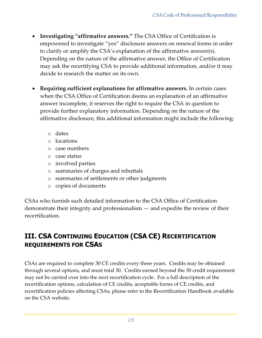- **Investigating "affirmative answers."** The CSA Office of Certification is empowered to investigate "yes" disclosure answers on renewal forms in order to clarify or amplify the CSA's explanation of the affirmative answer(s). Depending on the nature of the affirmative answer, the Office of Certification may ask the recertifying CSA to provide additional information, and/or it may decide to research the matter on its own.
- **Requiring sufficient explanations for affirmative answers.** In certain cases when the CSA Office of Certification deems an explanation of an affirmative answer incomplete, it reserves the right to require the CSA in question to provide further explanatory information. Depending on the nature of the affirmative disclosure, this additional information might include the following:
	- o dates
	- o locations
	- o case numbers
	- o case status
	- o involved parties
	- o summaries of charges and rebuttals
	- o summaries of settlements or other judgments
	- o copies of documents

CSAs who furnish such detailed information to the CSA Office of Certification demonstrate their integrity and professionalism — and expedite the review of their recertification.

## **III. CSA CONTINUING EDUCATION (CSA CE) RECERTIFICATION REQUIREMENTS FOR CSAS**

CSAs are required to complete 30 CE credits every three years. Credits may be obtained through several options, and must total 30. Credits earned beyond the 30 credit requirement may not be carried over into the next recertification cycle. For a full description of the recertification options, calculation of CE credits, acceptable forms of CE credits, and recertification policies affecting CSAs, please refer to the Recertification Handbook available on the CSA website.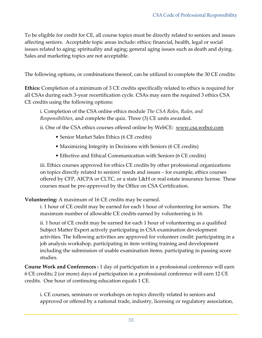To be eligible for credit for CE, all course topics must be directly related to seniors and issues affecting seniors. Acceptable topic areas include: ethics; financial, health, legal or social issues related to aging; spirituality and aging; general aging issues such as death and dying. Sales and marketing topics are not acceptable.

The following options, or combinations thereof, can be utilized to complete the 30 CE credits:

**Ethics:** Completion of a minimum of 3 CE credits specifically related to ethics is required for all CSAs during each 3-year recertification cycle. CSAs may earn the required 3 ethics CSA CE credits using the following options:

i. Completion of the CSA online ethics module *The CSA Roles, Rules, and Responsibilities*, and complete the quiz. Three (3) CE units awarded.

ii. One of the CSA ethics courses offered online by WebCE: [www.csa.webce.com](http://www.csa.webce.com/)

- Senior Market Sales Ethics (6 CE credits)
- Maximizing Integrity in Decisions with Seniors (6 CE credits)
- Effective and Ethical Communication with Seniors (6 CE credits)

iii. Ethics courses approved for ethics CE credits by other professional organizations on topics directly related to seniors' needs and issues – for example, ethics courses offered by CFP, AICPA or CLTC, or a state L&H or real estate insurance license. These courses must be pre-approved by the Office on CSA Certification.

#### **Volunteering:** A maximum of 16 CE credits may be earned.

i. 1 hour of CE credit may be earned for each 1 hour of volunteering for seniors. The maximum number of allowable CE credits earned by volunteering is 16.

ii. 1 hour of CE credit may be earned for each 1 hour of volunteering as a qualified Subject Matter Expert actively participating in CSA examination development activities. The following activities are approved for volunteer credit: participating in a job analysis workshop, participating in item writing training and development including the submission of usable examination items, participating in passing score studies.

**Course Work and Conferences :** 1 day of participation in a professional conference will earn 6 CE credits; 2 (or more) days of participation in a professional conference will earn 12 CE credits. One hour of continuing education equals 1 CE.

i. CE courses, seminars or workshops on topics directly related to seniors and approved or offered by a national trade, industry, licensing or regulatory association,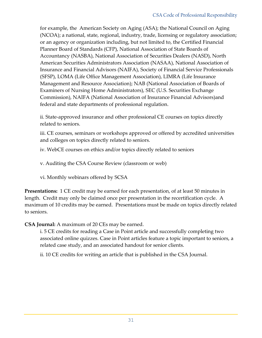for example, the American Society on Aging (ASA); the National Council on Aging (NCOA); a national, state, regional, industry, trade, licensing or regulatory association; or an agency or organization including, but not limited to, the Certified Financial Planner Board of Standards (CFP), National Association of State Boards of Accountancy (NASBA), National Association of Securities Dealers (NASD), North American Securities Administrators Association (NASAA), National Association of Insurance and Financial Advisors (NAIFA), Society of Financial Service Professionals (SFSP), LOMA (Life Office Management Association), LIMRA (Life Insurance Management and Resource Association); NAB (National Association of Boards of Examiners of Nursing Home Administrators), SEC (U.S. Securities Exchange Commission), NAIFA (National Association of Insurance Financial Advisors)and federal and state departments of professional regulation.

ii. State-approved insurance and other professional CE courses on topics directly related to seniors.

iii. CE courses, seminars or workshops approved or offered by accredited universities and colleges on topics directly related to seniors.

iv. WebCE courses on ethics and/or topics directly related to seniors

v. Auditing the CSA Course Review (classroom or web)

vi. Monthly webinars offered by SCSA

**Presentations:** 1 CE credit may be earned for each presentation, of at least 50 minutes in length. Credit may only be claimed once per presentation in the recertification cycle. A maximum of 10 credits may be earned. Presentations must be made on topics directly related to seniors.

**CSA Journal:** A maximum of 20 CEs may be earned.

i. 5 CE credits for reading a Case in Point article and successfully completing two associated online quizzes. Case in Point articles feature a topic important to seniors, a related case study, and an associated handout for senior clients.

ii. 10 CE credits for writing an article that is published in the CSA Journal.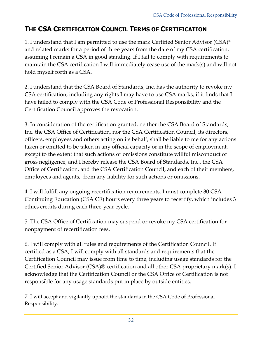## **THE CSA CERTIFICATION COUNCIL TERMS OF CERTIFICATION**

1. I understand that I am permitted to use the mark Certified Senior Advisor (CSA)® and related marks for a period of three years from the date of my CSA certification, assuming I remain a CSA in good standing. If I fail to comply with requirements to maintain the CSA certification I will immediately cease use of the mark(s) and will not hold myself forth as a CSA.

2. I understand that the CSA Board of Standards, Inc. has the authority to revoke my CSA certification, including any rights I may have to use CSA marks, if it finds that I have failed to comply with the CSA Code of Professional Responsibility and the Certification Council approves the revocation.

3. In consideration of the certification granted, neither the CSA Board of Standards, Inc. the CSA Office of Certification, nor the CSA Certification Council, its directors, officers, employees and others acting on its behalf, shall be liable to me for any actions taken or omitted to be taken in any official capacity or in the scope of employment, except to the extent that such actions or omissions constitute willful misconduct or gross negligence, and I hereby release the CSA Board of Standards, Inc., the CSA Office of Certification, and the CSA Certification Council, and each of their members, employees and agents, from any liability for such actions or omissions.

4. I will fulfill any ongoing recertification requirements. I must complete 30 CSA Continuing Education (CSA CE) hours every three years to recertify, which includes 3 ethics credits during each three-year cycle.

5. The CSA Office of Certification may suspend or revoke my CSA certification for nonpayment of recertification fees.

6. I will comply with all rules and requirements of the Certification Council. If certified as a CSA, I will comply with all standards and requirements that the Certification Council may issue from time to time, including usage standards for the Certified Senior Advisor (CSA)® certification and all other CSA proprietary mark(s). I acknowledge that the Certification Council or the CSA Office of Certification is not responsible for any usage standards put in place by outside entities.

7. I will accept and vigilantly uphold the standards in the CSA Code of Professional Responsibility.